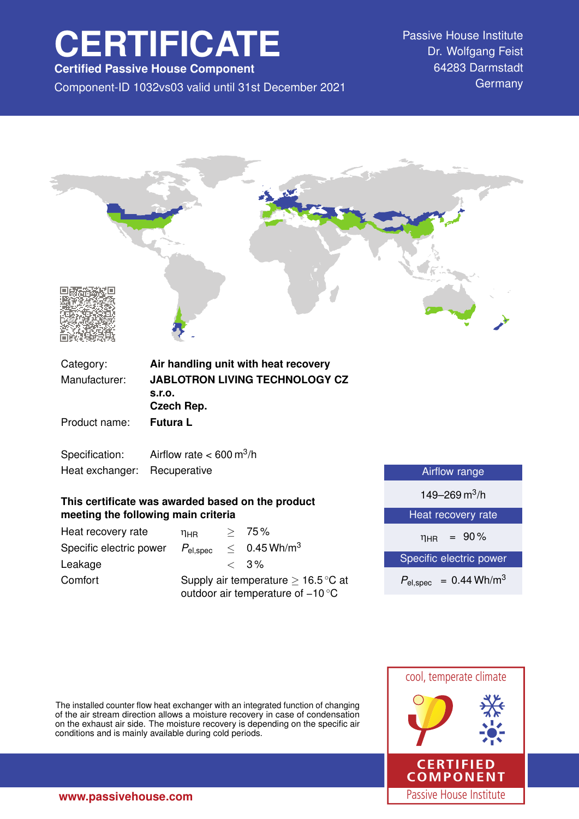# **CERTIFICATE**

**Certified Passive House Component**

Component-ID 1032vs03 valid until 31st December 2021 Germany

Passive House Institute Dr. Wolfgang Feist 64283 Darmstadt



### **This certificate was awarded based on the product meeting the following main criteria**

| Heat recovery rate      | ηнв                                                                                           |  | > 75%                      |
|-------------------------|-----------------------------------------------------------------------------------------------|--|----------------------------|
| Specific electric power | $P_{el,spec}$                                                                                 |  | $< 0.45$ Wh/m <sup>3</sup> |
| Leakage                 |                                                                                               |  | $\langle 3\%$              |
| Comfort                 | Supply air temperature $\geq 16.5^{\circ}$ C at<br>outdoor air temperature of $-10^{\circ}$ C |  |                            |

| Airflow range                          |  |  |
|----------------------------------------|--|--|
| 149-269 m <sup>3</sup> /h              |  |  |
| Heat recovery rate                     |  |  |
| $= 90\%$<br>$\eta_{HR}$                |  |  |
| Specific electric power                |  |  |
| $P_{el,spec}$ = 0.44 Wh/m <sup>3</sup> |  |  |

The installed counter flow heat exchanger with an integrated function of changing of the air stream direction allows a moisture recovery in case of condensation on the exhaust air side. The moisture recovery is depending on the specific air conditions and is mainly available during cold periods.

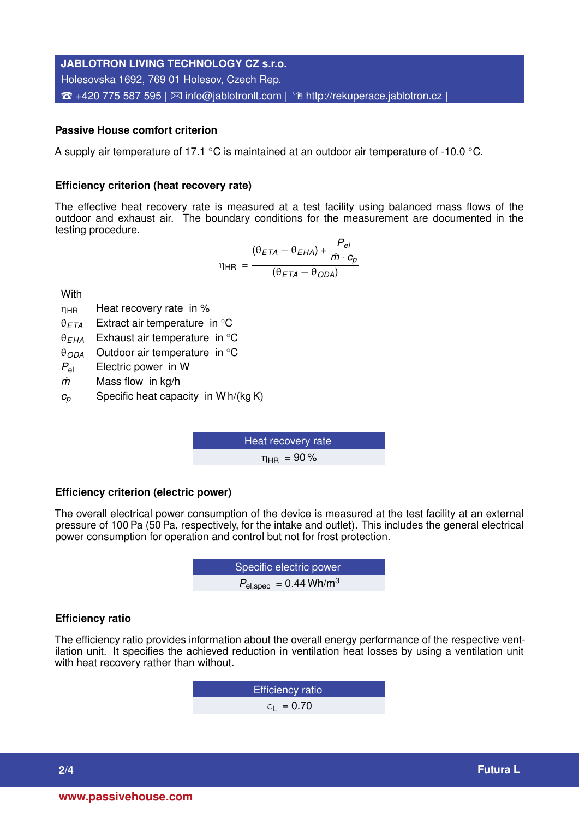## **JABLOTRON LIVING TECHNOLOGY CZ s.r.o.** Holesovska 1692, 769 01 Holesov, Czech Rep.  $\hat{\mathbf{B}}$  +420 775 587 595 |  $\boxtimes$  [info@jablotronlt.com](mailto:info@jablotronlt.com) |  $\hat{\mathbf{B}}$  <http://rekuperace.jablotron.cz> |

#### **Passive House comfort criterion**

A supply air temperature of 17.1 ◦C is maintained at an outdoor air temperature of -10.0 ◦C.

#### **Efficiency criterion (heat recovery rate)**

The effective heat recovery rate is measured at a test facility using balanced mass flows of the outdoor and exhaust air. The boundary conditions for the measurement are documented in the testing procedure.

$$
\eta_{HR} = \frac{(\theta_{ETA} - \theta_{EHA}) + \frac{P_{el}}{\dot{m} \cdot c_p}}{(\theta_{ETA} - \theta_{ODA})}
$$

**With** 

 $n<sub>HR</sub>$  Heat recovery rate in %

θ*ETA* Extract air temperature in ◦C

θ*EHA* Exhaust air temperature in ◦C

θ*ODA* Outdoor air temperature in ◦C

*P*el Electric power in W

*m˙* Mass flow in kg/h

*c<sup>p</sup>* Specific heat capacity in W h/(kg K)

Heat recovery rate  $\eta_{HR}$  = 90%

#### **Efficiency criterion (electric power)**

The overall electrical power consumption of the device is measured at the test facility at an external pressure of 100 Pa (50 Pa, respectively, for the intake and outlet). This includes the general electrical power consumption for operation and control but not for frost protection.

**EXECUTE:** Specific electric power  

$$
P_{\text{el,spec}} = 0.44 \text{ Wh/m}^3
$$

#### **Efficiency ratio**

The efficiency ratio provides information about the overall energy performance of the respective ventilation unit. It specifies the achieved reduction in ventilation heat losses by using a ventilation unit with heat recovery rather than without.

> Efficiency ratio  $\epsilon_1$  = 0.70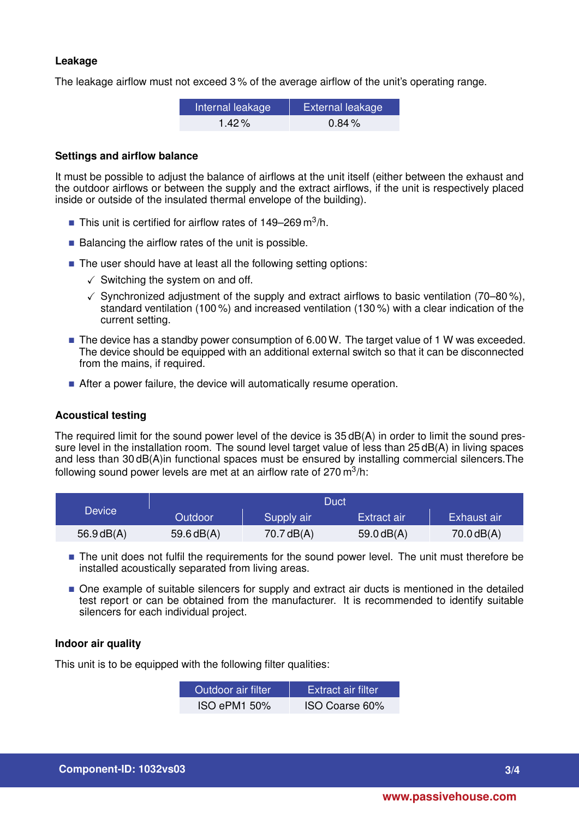#### **Leakage**

The leakage airflow must not exceed 3 % of the average airflow of the unit's operating range.

| Internal leakage | <b>External leakage</b> |
|------------------|-------------------------|
| $1.42\%$         | $0.84\%$                |

#### **Settings and airflow balance**

It must be possible to adjust the balance of airflows at the unit itself (either between the exhaust and the outdoor airflows or between the supply and the extract airflows, if the unit is respectively placed inside or outside of the insulated thermal envelope of the building).

- **This unit is certified for airflow rates of 149–269** m<sup>3</sup>/h.
- $\blacksquare$  Balancing the airflow rates of the unit is possible.
- The user should have at least all the following setting options:
	- $\checkmark$  Switching the system on and off.
	- $\checkmark$  Synchronized adjustment of the supply and extract airflows to basic ventilation (70–80%), standard ventilation (100 %) and increased ventilation (130 %) with a clear indication of the current setting.
- The device has a standby power consumption of 6.00 W. The target value of 1 W was exceeded. The device should be equipped with an additional external switch so that it can be disconnected from the mains, if required.
- After a power failure, the device will automatically resume operation.

#### **Acoustical testing**

The required limit for the sound power level of the device is 35 dB(A) in order to limit the sound pressure level in the installation room. The sound level target value of less than 25 dB(A) in living spaces and less than 30 dB(A)in functional spaces must be ensured by installing commercial silencers.The following sound power levels are met at an airflow rate of 270 m $^3$ /h:

|               | Duct           |              |              |              |
|---------------|----------------|--------------|--------------|--------------|
| <b>Device</b> | <b>Outdoor</b> | Supply air   | Extract air  | Exhaust air  |
| $56.9$ dB(A)  | 59.6 $dB(A)$   | 70.7 $dB(A)$ | 59.0 $dB(A)$ | 70.0 $dB(A)$ |

- The unit does not fulfil the requirements for the sound power level. The unit must therefore be installed acoustically separated from living areas.
- $\blacksquare$  One example of suitable silencers for supply and extract air ducts is mentioned in the detailed test report or can be obtained from the manufacturer. It is recommended to identify suitable silencers for each individual project.

#### **Indoor air quality**

This unit is to be equipped with the following filter qualities:

| Outdoor air filter. | <b>Extract air filter</b> |
|---------------------|---------------------------|
| <b>ISO ePM1 50%</b> | ISO Coarse 60%            |